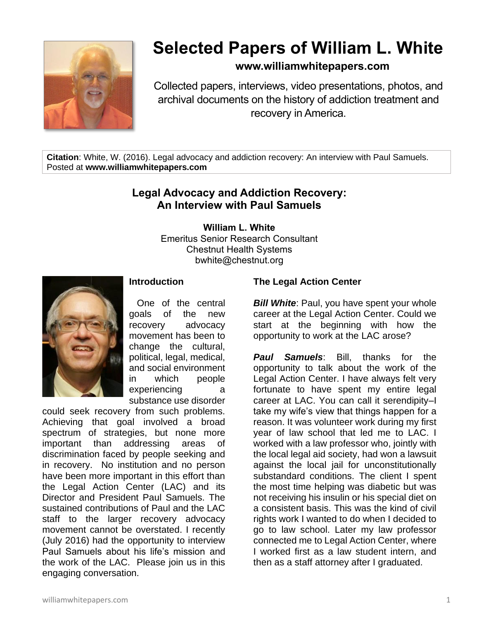

# **Selected Papers of William L. White**

### **www.williamwhitepapers.com**

Collected papers, interviews, video presentations, photos, and archival documents on the history of addiction treatment and recovery in America.

**Citation**: White, W. (2016). Legal advocacy and addiction recovery: An interview with Paul Samuels. Posted at **www.williamwhitepapers.com**

## **Legal Advocacy and Addiction Recovery: An Interview with Paul Samuels**

**William L. White**

Emeritus Senior Research Consultant Chestnut Health Systems bwhite@chestnut.org



#### **Introduction**

 One of the central goals of the new recovery advocacy movement has been to change the cultural, political, legal, medical, and social environment in which people experiencing a substance use disorder

could seek recovery from such problems. Achieving that goal involved a broad spectrum of strategies, but none more important than addressing areas of discrimination faced by people seeking and in recovery. No institution and no person have been more important in this effort than the Legal Action Center (LAC) and its Director and President Paul Samuels. The sustained contributions of Paul and the LAC staff to the larger recovery advocacy movement cannot be overstated. I recently (July 2016) had the opportunity to interview Paul Samuels about his life's mission and the work of the LAC. Please join us in this engaging conversation.

#### **The Legal Action Center**

**Bill White:** Paul, you have spent your whole career at the Legal Action Center. Could we start at the beginning with how the opportunity to work at the LAC arose?

*Paul Samuels*: Bill, thanks for the opportunity to talk about the work of the Legal Action Center. I have always felt very fortunate to have spent my entire legal career at LAC. You can call it serendipity–I take my wife's view that things happen for a reason. It was volunteer work during my first year of law school that led me to LAC. I worked with a law professor who, jointly with the local legal aid society, had won a lawsuit against the local jail for unconstitutionally substandard conditions. The client I spent the most time helping was diabetic but was not receiving his insulin or his special diet on a consistent basis. This was the kind of civil rights work I wanted to do when I decided to go to law school. Later my law professor connected me to Legal Action Center, where I worked first as a law student intern, and then as a staff attorney after I graduated.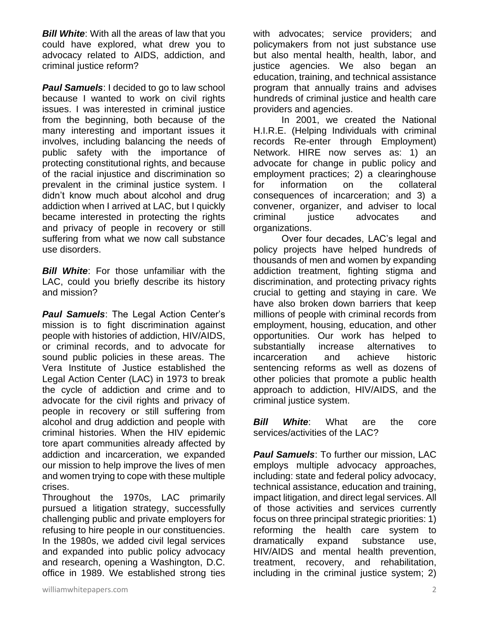*Bill White*: With all the areas of law that you could have explored, what drew you to advocacy related to AIDS, addiction, and criminal justice reform?

*Paul Samuels*: I decided to go to law school because I wanted to work on civil rights issues. I was interested in criminal justice from the beginning, both because of the many interesting and important issues it involves, including balancing the needs of public safety with the importance of protecting constitutional rights, and because of the racial injustice and discrimination so prevalent in the criminal justice system. I didn't know much about alcohol and drug addiction when I arrived at LAC, but I quickly became interested in protecting the rights and privacy of people in recovery or still suffering from what we now call substance use disorders.

**Bill White:** For those unfamiliar with the LAC, could you briefly describe its history and mission?

*Paul Samuels*: The Legal Action Center's mission is to fight discrimination against people with histories of addiction, HIV/AIDS, or criminal records, and to advocate for sound public policies in these areas. The Vera Institute of Justice established the Legal Action Center (LAC) in 1973 to break the cycle of addiction and crime and to advocate for the civil rights and privacy of people in recovery or still suffering from alcohol and drug addiction and people with criminal histories. When the HIV epidemic tore apart communities already affected by addiction and incarceration, we expanded our mission to help improve the lives of men and women trying to cope with these multiple crises.

Throughout the 1970s, LAC primarily pursued a litigation strategy, successfully challenging public and private employers for refusing to hire people in our constituencies. In the 1980s, we added civil legal services and expanded into public policy advocacy and research, opening a Washington, D.C. office in 1989. We established strong ties

with advocates; service providers; and policymakers from not just substance use but also mental health, health, labor, and justice agencies. We also began an education, training, and technical assistance program that annually trains and advises hundreds of criminal justice and health care providers and agencies.

In 2001, we created the National H.I.R.E. (Helping Individuals with criminal records Re-enter through Employment) Network. HIRE now serves as: 1) an advocate for change in public policy and employment practices; 2) a clearinghouse for information on the collateral consequences of incarceration; and 3) a convener, organizer, and adviser to local criminal justice advocates and organizations.

Over four decades, LAC's legal and policy projects have helped hundreds of thousands of men and women by expanding addiction treatment, fighting stigma and discrimination, and protecting privacy rights crucial to getting and staying in care. We have also broken down barriers that keep millions of people with criminal records from employment, housing, education, and other opportunities. Our work has helped to substantially increase alternatives to incarceration and achieve historic sentencing reforms as well as dozens of other policies that promote a public health approach to addiction, HIV/AIDS, and the criminal justice system.

*Bill White*: What are the core services/activities of the LAC?

**Paul Samuels:** To further our mission, LAC employs multiple advocacy approaches, including: state and federal policy advocacy, technical assistance, education and training, impact litigation, and direct legal services. All of those activities and services currently focus on three principal strategic priorities: 1) reforming the health care system to dramatically expand substance use, HIV/AIDS and mental health prevention, treatment, recovery, and rehabilitation, including in the criminal justice system; 2)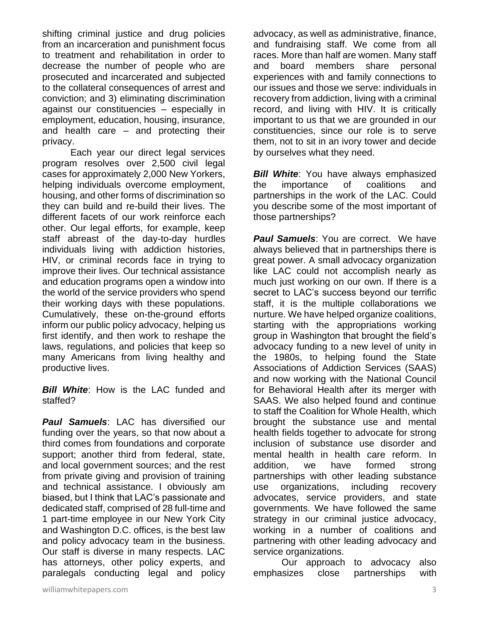shifting criminal justice and drug policies from an incarceration and punishment focus to treatment and rehabilitation in order to decrease the number of people who are prosecuted and incarcerated and subjected to the collateral consequences of arrest and conviction; and 3) eliminating discrimination against our constituencies – especially in employment, education, housing, insurance, and health care – and protecting their privacy.

Each year our direct legal services program resolves over 2,500 civil legal cases for approximately 2,000 New Yorkers, helping individuals overcome employment, housing, and other forms of discrimination so they can build and re-build their lives. The different facets of our work reinforce each other. Our legal efforts, for example, keep staff abreast of the day-to-day hurdles individuals living with addiction histories, HIV, or criminal records face in trying to improve their lives. Our technical assistance and education programs open a window into the world of the service providers who spend their working days with these populations. Cumulatively, these on-the-ground efforts inform our public policy advocacy, helping us first identify, and then work to reshape the laws, regulations, and policies that keep so many Americans from living healthy and productive lives.

*Bill White*: How is the LAC funded and staffed?

*Paul Samuels*: LAC has diversified our funding over the years, so that now about a third comes from foundations and corporate support; another third from federal, state, and local government sources; and the rest from private giving and provision of training and technical assistance. I obviously am biased, but I think that LAC's passionate and dedicated staff, comprised of 28 full-time and 1 part-time employee in our New York City and Washington D.C. offices, is the best law and policy advocacy team in the business. Our staff is diverse in many respects. LAC has attorneys, other policy experts, and paralegals conducting legal and policy

advocacy, as well as administrative, finance, and fundraising staff. We come from all races. More than half are women. Many staff and board members share personal experiences with and family connections to our issues and those we serve: individuals in recovery from addiction, living with a criminal record, and living with HIV. It is critically important to us that we are grounded in our constituencies, since our role is to serve them, not to sit in an ivory tower and decide by ourselves what they need.

*Bill White*: You have always emphasized the importance of coalitions and partnerships in the work of the LAC. Could you describe some of the most important of those partnerships?

**Paul Samuels:** You are correct. We have always believed that in partnerships there is great power. A small advocacy organization like LAC could not accomplish nearly as much just working on our own. If there is a secret to LAC's success beyond our terrific staff, it is the multiple collaborations we nurture. We have helped organize coalitions, starting with the appropriations working group in Washington that brought the field's advocacy funding to a new level of unity in the 1980s, to helping found the State Associations of Addiction Services (SAAS) and now working with the National Council for Behavioral Health after its merger with SAAS. We also helped found and continue to staff the Coalition for Whole Health, which brought the substance use and mental health fields together to advocate for strong inclusion of substance use disorder and mental health in health care reform. In addition, we have formed strong partnerships with other leading substance use organizations, including recovery advocates, service providers, and state governments. We have followed the same strategy in our criminal justice advocacy, working in a number of coalitions and partnering with other leading advocacy and service organizations.

Our approach to advocacy also emphasizes close partnerships with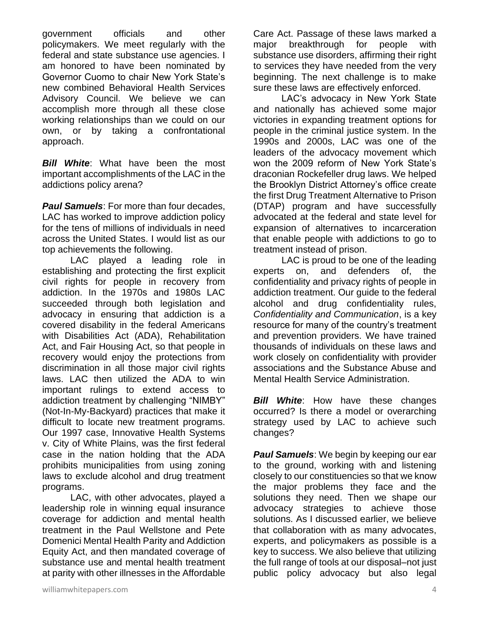government officials and other policymakers. We meet regularly with the federal and state substance use agencies. I am honored to have been nominated by Governor Cuomo to chair New York State's new combined Behavioral Health Services Advisory Council. We believe we can accomplish more through all these close working relationships than we could on our own, or by taking a confrontational approach.

*Bill White*: What have been the most important accomplishments of the LAC in the addictions policy arena?

*Paul Samuels*: For more than four decades, LAC has worked to improve addiction policy for the tens of millions of individuals in need across the United States. I would list as our top achievements the following.

LAC played a leading role in establishing and protecting the first explicit civil rights for people in recovery from addiction. In the 1970s and 1980s LAC succeeded through both legislation and advocacy in ensuring that addiction is a covered disability in the federal Americans with Disabilities Act (ADA), Rehabilitation Act, and Fair Housing Act, so that people in recovery would enjoy the protections from discrimination in all those major civil rights laws. LAC then utilized the ADA to win important rulings to extend access to addiction treatment by challenging "NIMBY" (Not-In-My-Backyard) practices that make it difficult to locate new treatment programs. Our 1997 case, Innovative Health Systems v. City of White Plains, was the first federal case in the nation holding that the ADA prohibits municipalities from using zoning laws to exclude alcohol and drug treatment programs.

LAC, with other advocates, played a leadership role in winning equal insurance coverage for addiction and mental health treatment in the Paul Wellstone and Pete Domenici Mental Health Parity and Addiction Equity Act, and then mandated coverage of substance use and mental health treatment at parity with other illnesses in the Affordable

Care Act. Passage of these laws marked a major breakthrough for people with substance use disorders, affirming their right to services they have needed from the very beginning. The next challenge is to make sure these laws are effectively enforced.

LAC's advocacy in New York State and nationally has achieved some major victories in expanding treatment options for people in the criminal justice system. In the 1990s and 2000s, LAC was one of the leaders of the advocacy movement which won the 2009 reform of New York State's draconian Rockefeller drug laws. We helped the Brooklyn District Attorney's office create the first Drug Treatment Alternative to Prison (DTAP) program and have successfully advocated at the federal and state level for expansion of alternatives to incarceration that enable people with addictions to go to treatment instead of prison.

LAC is proud to be one of the leading experts on, and defenders of, the confidentiality and privacy rights of people in addiction treatment. Our guide to the federal alcohol and drug confidentiality rules, *Confidentiality and Communication*, is a key resource for many of the country's treatment and prevention providers. We have trained thousands of individuals on these laws and work closely on confidentiality with provider associations and the Substance Abuse and Mental Health Service Administration.

*Bill White*: How have these changes occurred? Is there a model or overarching strategy used by LAC to achieve such changes?

*Paul Samuels*: We begin by keeping our ear to the ground, working with and listening closely to our constituencies so that we know the major problems they face and the solutions they need. Then we shape our advocacy strategies to achieve those solutions. As I discussed earlier, we believe that collaboration with as many advocates, experts, and policymakers as possible is a key to success. We also believe that utilizing the full range of tools at our disposal–not just public policy advocacy but also legal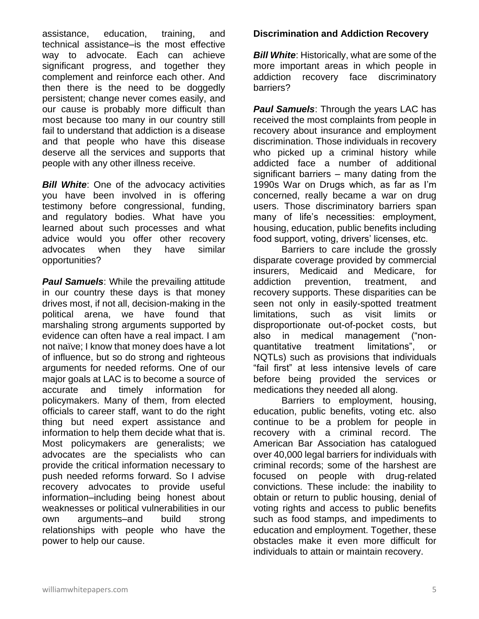assistance, education, training, and technical assistance–is the most effective way to advocate. Each can achieve significant progress, and together they complement and reinforce each other. And then there is the need to be doggedly persistent; change never comes easily, and our cause is probably more difficult than most because too many in our country still fail to understand that addiction is a disease and that people who have this disease deserve all the services and supports that people with any other illness receive.

**Bill White:** One of the advocacy activities you have been involved in is offering testimony before congressional, funding, and regulatory bodies. What have you learned about such processes and what advice would you offer other recovery advocates when they have similar opportunities?

**Paul Samuels:** While the prevailing attitude in our country these days is that money drives most, if not all, decision-making in the political arena, we have found that marshaling strong arguments supported by evidence can often have a real impact. I am not naïve; I know that money does have a lot of influence, but so do strong and righteous arguments for needed reforms. One of our major goals at LAC is to become a source of accurate and timely information for policymakers. Many of them, from elected officials to career staff, want to do the right thing but need expert assistance and information to help them decide what that is. Most policymakers are generalists; we advocates are the specialists who can provide the critical information necessary to push needed reforms forward. So I advise recovery advocates to provide useful information–including being honest about weaknesses or political vulnerabilities in our own arguments–and build strong relationships with people who have the power to help our cause.

# **Discrimination and Addiction Recovery**

*Bill White:* Historically, what are some of the more important areas in which people in addiction recovery face discriminatory barriers?

**Paul Samuels:** Through the years LAC has received the most complaints from people in recovery about insurance and employment discrimination. Those individuals in recovery who picked up a criminal history while addicted face a number of additional significant barriers – many dating from the 1990s War on Drugs which, as far as I'm concerned, really became a war on drug users. Those discriminatory barriers span many of life's necessities: employment, housing, education, public benefits including food support, voting, drivers' licenses, etc.

Barriers to care include the grossly disparate coverage provided by commercial insurers, Medicaid and Medicare, for addiction prevention, treatment, and recovery supports. These disparities can be seen not only in easily-spotted treatment limitations, such as visit limits or disproportionate out-of-pocket costs, but also in medical management ("nonquantitative treatment limitations", or NQTLs) such as provisions that individuals "fail first" at less intensive levels of care before being provided the services or medications they needed all along.

Barriers to employment, housing, education, public benefits, voting etc. also continue to be a problem for people in recovery with a criminal record. The American Bar Association has catalogued over 40,000 legal barriers for individuals with criminal records; some of the harshest are focused on people with drug-related convictions. These include: the inability to obtain or return to public housing, denial of voting rights and access to public benefits such as food stamps, and impediments to education and employment. Together, these obstacles make it even more difficult for individuals to attain or maintain recovery.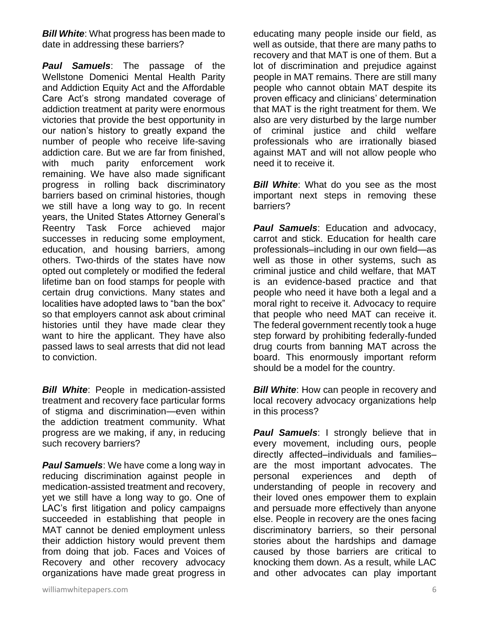*Bill White:* What progress has been made to date in addressing these barriers?

*Paul Samuels*: The passage of the Wellstone Domenici Mental Health Parity and Addiction Equity Act and the Affordable Care Act's strong mandated coverage of addiction treatment at parity were enormous victories that provide the best opportunity in our nation's history to greatly expand the number of people who receive life-saving addiction care. But we are far from finished, with much parity enforcement work remaining. We have also made significant progress in rolling back discriminatory barriers based on criminal histories, though we still have a long way to go. In recent years, the United States Attorney General's Reentry Task Force achieved major successes in reducing some employment, education, and housing barriers, among others. Two-thirds of the states have now opted out completely or modified the federal lifetime ban on food stamps for people with certain drug convictions. Many states and localities have adopted laws to "ban the box" so that employers cannot ask about criminal histories until they have made clear they want to hire the applicant. They have also passed laws to seal arrests that did not lead to conviction.

**Bill White:** People in medication-assisted treatment and recovery face particular forms of stigma and discrimination—even within the addiction treatment community. What progress are we making, if any, in reducing such recovery barriers?

*Paul Samuels*: We have come a long way in reducing discrimination against people in medication-assisted treatment and recovery, yet we still have a long way to go. One of LAC's first litigation and policy campaigns succeeded in establishing that people in MAT cannot be denied employment unless their addiction history would prevent them from doing that job. Faces and Voices of Recovery and other recovery advocacy organizations have made great progress in educating many people inside our field, as well as outside, that there are many paths to recovery and that MAT is one of them. But a lot of discrimination and prejudice against people in MAT remains. There are still many people who cannot obtain MAT despite its proven efficacy and clinicians' determination that MAT is the right treatment for them. We also are very disturbed by the large number of criminal justice and child welfare professionals who are irrationally biased against MAT and will not allow people who need it to receive it.

*Bill White*: What do you see as the most important next steps in removing these barriers?

*Paul Samuels*: Education and advocacy, carrot and stick. Education for health care professionals–including in our own field—as well as those in other systems, such as criminal justice and child welfare, that MAT is an evidence-based practice and that people who need it have both a legal and a moral right to receive it. Advocacy to require that people who need MAT can receive it. The federal government recently took a huge step forward by prohibiting federally-funded drug courts from banning MAT across the board. This enormously important reform should be a model for the country.

*Bill White:* How can people in recovery and local recovery advocacy organizations help in this process?

**Paul Samuels:** I strongly believe that in every movement, including ours, people directly affected–individuals and families– are the most important advocates. The personal experiences and depth of understanding of people in recovery and their loved ones empower them to explain and persuade more effectively than anyone else. People in recovery are the ones facing discriminatory barriers, so their personal stories about the hardships and damage caused by those barriers are critical to knocking them down. As a result, while LAC and other advocates can play important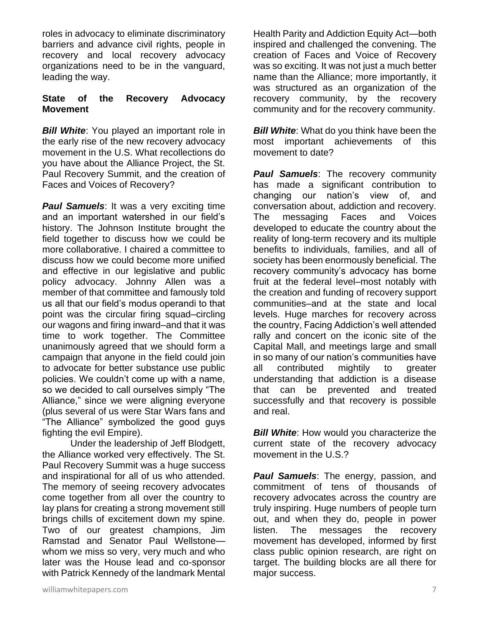roles in advocacy to eliminate discriminatory barriers and advance civil rights, people in recovery and local recovery advocacy organizations need to be in the vanguard, leading the way.

#### **State of the Recovery Advocacy Movement**

**Bill White:** You played an important role in the early rise of the new recovery advocacy movement in the U.S. What recollections do you have about the Alliance Project, the St. Paul Recovery Summit, and the creation of Faces and Voices of Recovery?

**Paul Samuels:** It was a very exciting time and an important watershed in our field's history. The Johnson Institute brought the field together to discuss how we could be more collaborative. I chaired a committee to discuss how we could become more unified and effective in our legislative and public policy advocacy. Johnny Allen was a member of that committee and famously told us all that our field's modus operandi to that point was the circular firing squad–circling our wagons and firing inward–and that it was time to work together. The Committee unanimously agreed that we should form a campaign that anyone in the field could join to advocate for better substance use public policies. We couldn't come up with a name, so we decided to call ourselves simply "The Alliance," since we were aligning everyone (plus several of us were Star Wars fans and "The Alliance" symbolized the good guys fighting the evil Empire).

Under the leadership of Jeff Blodgett, the Alliance worked very effectively. The St. Paul Recovery Summit was a huge success and inspirational for all of us who attended. The memory of seeing recovery advocates come together from all over the country to lay plans for creating a strong movement still brings chills of excitement down my spine. Two of our greatest champions, Jim Ramstad and Senator Paul Wellstone whom we miss so very, very much and who later was the House lead and co-sponsor with Patrick Kennedy of the landmark Mental Health Parity and Addiction Equity Act—both inspired and challenged the convening. The creation of Faces and Voice of Recovery was so exciting. It was not just a much better name than the Alliance; more importantly, it was structured as an organization of the recovery community, by the recovery community and for the recovery community.

**Bill White:** What do you think have been the most important achievements of this movement to date?

*Paul Samuels:* The recovery community has made a significant contribution to changing our nation's view of, and conversation about, addiction and recovery. The messaging Faces and Voices developed to educate the country about the reality of long-term recovery and its multiple benefits to individuals, families, and all of society has been enormously beneficial. The recovery community's advocacy has borne fruit at the federal level–most notably with the creation and funding of recovery support communities–and at the state and local levels. Huge marches for recovery across the country, Facing Addiction's well attended rally and concert on the iconic site of the Capital Mall, and meetings large and small in so many of our nation's communities have all contributed mightily to greater understanding that addiction is a disease that can be prevented and treated successfully and that recovery is possible and real.

**Bill White:** How would you characterize the current state of the recovery advocacy movement in the U.S.?

*Paul Samuels*: The energy, passion, and commitment of tens of thousands of recovery advocates across the country are truly inspiring. Huge numbers of people turn out, and when they do, people in power listen. The messages the recovery movement has developed, informed by first class public opinion research, are right on target. The building blocks are all there for major success.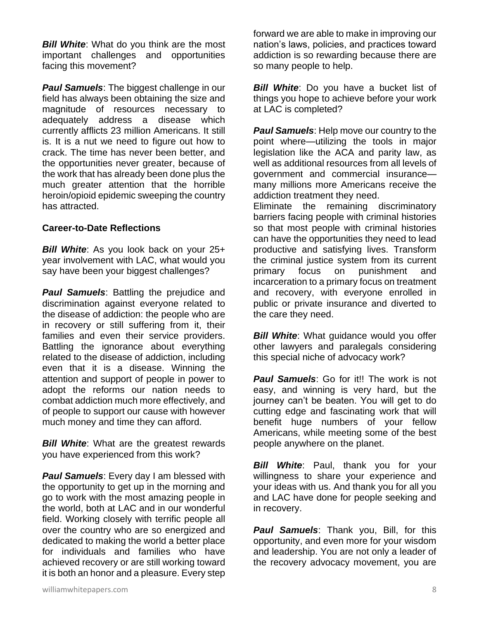**Bill White:** What do you think are the most important challenges and opportunities facing this movement?

*Paul Samuels*: The biggest challenge in our field has always been obtaining the size and magnitude of resources necessary to adequately address a disease which currently afflicts 23 million Americans. It still is. It is a nut we need to figure out how to crack. The time has never been better, and the opportunities never greater, because of the work that has already been done plus the much greater attention that the horrible heroin/opioid epidemic sweeping the country has attracted.

#### **Career-to-Date Reflections**

*Bill White*: As you look back on your 25+ year involvement with LAC, what would you say have been your biggest challenges?

**Paul Samuels:** Battling the prejudice and discrimination against everyone related to the disease of addiction: the people who are in recovery or still suffering from it, their families and even their service providers. Battling the ignorance about everything related to the disease of addiction, including even that it is a disease. Winning the attention and support of people in power to adopt the reforms our nation needs to combat addiction much more effectively, and of people to support our cause with however much money and time they can afford.

**Bill White:** What are the greatest rewards you have experienced from this work?

*Paul Samuels*: Every day I am blessed with the opportunity to get up in the morning and go to work with the most amazing people in the world, both at LAC and in our wonderful field. Working closely with terrific people all over the country who are so energized and dedicated to making the world a better place for individuals and families who have achieved recovery or are still working toward it is both an honor and a pleasure. Every step forward we are able to make in improving our nation's laws, policies, and practices toward addiction is so rewarding because there are so many people to help.

**Bill White:** Do you have a bucket list of things you hope to achieve before your work at LAC is completed?

*Paul Samuels*: Help move our country to the point where—utilizing the tools in major legislation like the ACA and parity law, as well as additional resources from all levels of government and commercial insurance many millions more Americans receive the addiction treatment they need.

Eliminate the remaining discriminatory barriers facing people with criminal histories so that most people with criminal histories can have the opportunities they need to lead productive and satisfying lives. Transform the criminal justice system from its current primary focus on punishment and incarceration to a primary focus on treatment and recovery, with everyone enrolled in public or private insurance and diverted to the care they need.

**Bill White:** What quidance would you offer other lawyers and paralegals considering this special niche of advocacy work?

**Paul Samuels:** Go for it!! The work is not easy, and winning is very hard, but the journey can't be beaten. You will get to do cutting edge and fascinating work that will benefit huge numbers of your fellow Americans, while meeting some of the best people anywhere on the planet.

**Bill White:** Paul, thank you for your willingness to share your experience and your ideas with us. And thank you for all you and LAC have done for people seeking and in recovery.

*Paul Samuels*: Thank you, Bill, for this opportunity, and even more for your wisdom and leadership. You are not only a leader of the recovery advocacy movement, you are